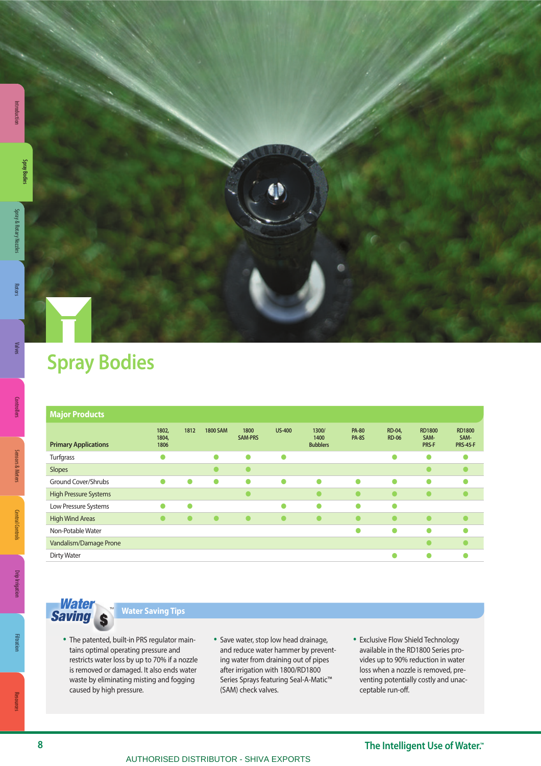**Spray Bodies**

Rotor:

**Filtration**

**Kesource** 

| . . |                        |  |  |
|-----|------------------------|--|--|
|     | Non-Potable Water      |  |  |
|     | Vandalism/Damage Prone |  |  |
|     | Dirty Water            |  |  |
|     |                        |  |  |
|     |                        |  |  |



**Primary Applications**

**Major Products**

**Spray Bodies**

# **Water Saving Tips**

**1802, 1804, 1806**

**1812 1800 SAM 1800** 

Low Pressure Systems **O** O O O O O O O O O O O O O O

**SAM-PRS**

Turfgrass **O O O O** O O O O O O O O O O Slopes O O O O Ground Cover/Shrubs O O O O O O O O O O O O O O O High Pressure Systems O O O O O O

High Wind Areas O O O O O O O O O O

**US-400 1300/**

**1400 Bubblers** **PA-80 PA-8S** 

**RD-04, RD-06** **RD1800 SAM-PRS-F**

**RD1800 SAM-PRS-45-F**

- The patented, built-in PRS regulator maintains optimal operating pressure and restricts water loss by up to 70% if a nozzle is removed or damaged. It also ends water waste by eliminating misting and fogging caused by high pressure.
- Save water, stop low head drainage, and reduce water hammer by preventing water from draining out of pipes after irrigation with 1800/RD1800 Series Sprays featuring Seal-A-Matic™ (SAM) check valves.
- Exclusive Flow Shield Technology available in the RD1800 Series provides up to 90% reduction in water loss when a nozzle is removed, preventing potentially costly and unacceptable run-off.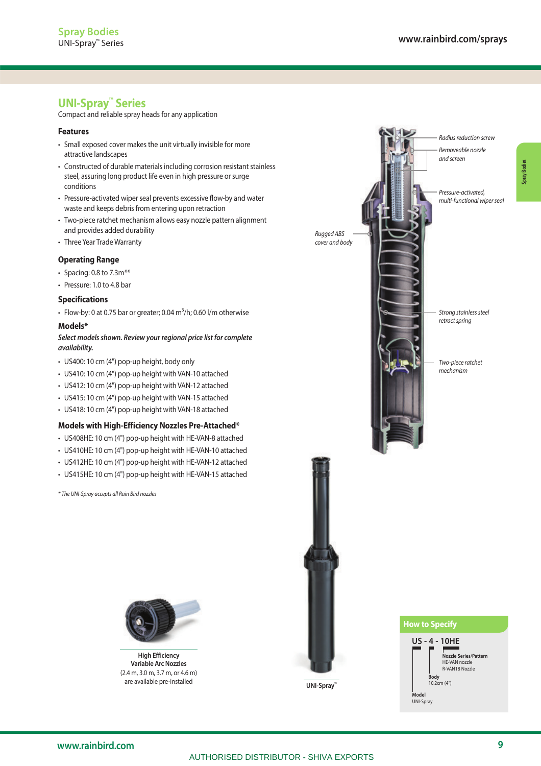# **UNI-Spray™ Series**

Compact and reliable spray heads for any application

### **Features**

- Small exposed cover makes the unit virtually invisible for more attractive landscapes
- Constructed of durable materials including corrosion resistant stainless steel, assuring long product life even in high pressure or surge conditions
- Pressure-activated wiper seal prevents excessive flow-by and water waste and keeps debris from entering upon retraction
- Two-piece ratchet mechanism allows easy nozzle pattern alignment and provides added durability
- Three Year Trade Warranty

### **Operating Range**

- Spacing: 0.8 to 7.3 $m**$
- Pressure: 1.0 to 4.8 bar

### **Specifications**

• Flow-by: 0 at 0.75 bar or greater; 0.04  $m^3/h$ ; 0.60 l/m otherwise

### **Models\***

## **Select models shown. Review your regional price list for complete availability.**

- US400: 10 cm (4") pop-up height, body only
- US410: 10 cm (4") pop-up height with VAN-10 attached
- US412: 10 cm (4") pop-up height with VAN-12 attached
- US415: 10 cm (4") pop-up height with VAN-15 attached
- US418: 10 cm (4") pop-up height with VAN-18 attached

### **Models with High-Efficiency Nozzles Pre-Attached\***

- US408HE: 10 cm (4") pop-up height with HE-VAN-8 attached
- US410HE: 10 cm (4") pop-up height with HE-VAN-10 attached
- US412HE: 10 cm (4") pop-up height with HE-VAN-12 attached
- US415HE: 10 cm (4") pop-up height with HE-VAN-15 attached

\* The UNI-Spray accepts all Rain Bird nozzles



**High Efficiency Variable Arc Nozzles**  (2.4 m, 3.0 m, 3.7 m, or 4.6 m) are available pre-installed **UNI-Spray** 



Pressure-activated, multi-functional wiper seal

Radius reduction screw

Strong stainless steel retract spring

Two-piece ratchet mechanism



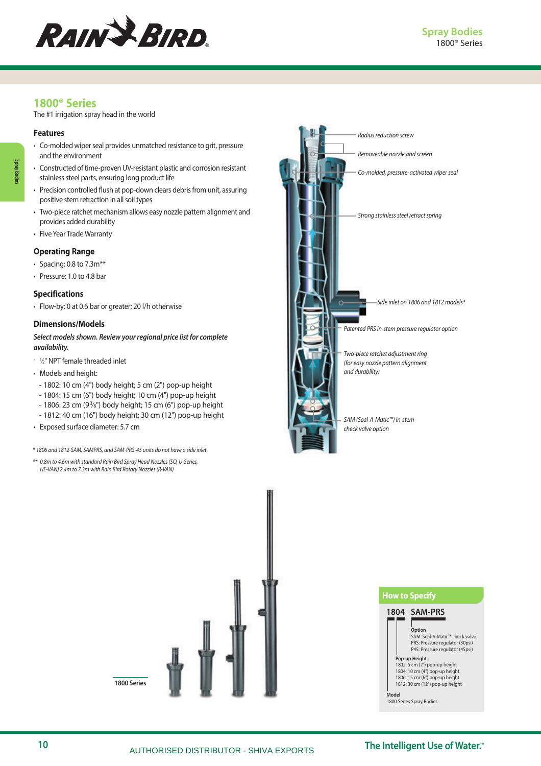

# **1800® Series**

The #1 irrigation spray head in the world

### **Features**

- Co-molded wiper seal provides unmatched resistance to grit, pressure and the environment
- Constructed of time-proven UV-resistant plastic and corrosion resistant stainless steel parts, ensuring long product life
- Precision controlled flush at pop-down clears debris from unit, assuring positive stem retraction in all soil types
- Two-piece ratchet mechanism allows easy nozzle pattern alignment and provides added durability
- Five Year Trade Warranty

### **Operating Range**

- Spacing:  $0.8$  to  $7.3m**$
- Pressure: 1.0 to 4.8 bar

### **Specifications**

• Flow-by: 0 at 0.6 bar or greater; 20 l/h otherwise

### **Dimensions/Models**

**Select models shown. Review your regional price list for complete availability.**

- 1⁄2" NPT female threaded inlet
- Models and height:
- 1802: 10 cm (4") body height; 5 cm (2") pop-up height
- 1804: 15 cm (6") body height; 10 cm (4") pop-up height
- 1806: 23 cm (9<sup>3</sup> ⁄8") body height; 15 cm (6") pop-up height
- 1812: 40 cm (16") body height; 30 cm (12") pop-up height

**1800 Series**

- Exposed surface diameter: 5.7 cm
- \* 1806 and 1812-SAM, SAMPRS, and SAM-PRS-45 units do not have a side inlet
- \*\* 0.8m to 4.6m with standard Rain Bird Spray Head Nozzles (SQ, U-Series, HE-VAN) 2.4m to 7.3m with Rain Bird Rotary Nozzles (R-VAN)





**Spray Bodies**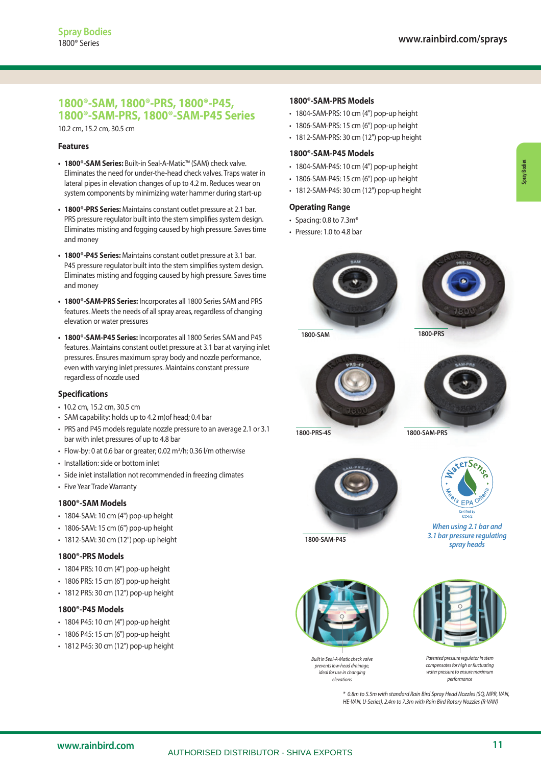# **1800®-SAM, 1800®-PRS, 1800®-P45, 1800®-SAM-PRS, 1800®-SAM-P45 Series**

10.2 cm, 15.2 cm, 30.5 cm

## **Features**

- **1800®-SAM Series:** Built-in Seal-A-Matic™ (SAM) check valve. Eliminates the need for under-the-head check valves. Traps water in lateral pipes in elevation changes of up to 4.2 m. Reduces wear on system components by minimizing water hammer during start-up
- **1800®-PRS Series:** Maintains constant outlet pressure at 2.1 bar. PRS pressure regulator built into the stem simplifies system design. Eliminates misting and fogging caused by high pressure. Saves time and money
- **1800®-P45 Series:** Maintains constant outlet pressure at 3.1 bar. P45 pressure regulator built into the stem simplifies system design. Eliminates misting and fogging caused by high pressure. Saves time and money
- **1800®-SAM-PRS Series:** Incorporates all 1800 Series SAM and PRS features. Meets the needs of all spray areas, regardless of changing elevation or water pressures
- **1800®-SAM-P45 Series:** Incorporates all 1800 Series SAM and P45 features. Maintains constant outlet pressure at 3.1 bar at varying inlet pressures. Ensures maximum spray body and nozzle performance, even with varying inlet pressures. Maintains constant pressure regardless of nozzle used

## **Specifications**

- 10.2 cm, 15.2 cm, 30.5 cm
- SAM capability: holds up to 4.2 m)of head; 0.4 bar
- PRS and P45 models regulate nozzle pressure to an average 2.1 or 3.1 bar with inlet pressures of up to 4.8 bar
- Flow-by: 0 at 0.6 bar or greater; 0.02  $m^3/h$ ; 0.36 l/m otherwise
- Installation: side or bottom inlet
- Side inlet installation not recommended in freezing climates
- Five Year Trade Warranty

### **1800®-SAM Models**

- 1804-SAM: 10 cm (4") pop-up height
- 1806-SAM: 15 cm (6") pop-up height
- 1812-SAM: 30 cm (12") pop-up height

### **1800®-PRS Models**

- 1804 PRS: 10 cm (4") pop-up height
- 1806 PRS: 15 cm (6") pop-up height
- 1812 PRS: 30 cm (12") pop-up height

### **1800®-P45 Models**

- 1804 P45: 10 cm (4") pop-up height
- 1806 P45: 15 cm (6") pop-up height
- 1812 P45: 30 cm (12") pop-up height

# **1800®-SAM-PRS Models**

- 1804-SAM-PRS: 10 cm (4") pop-up height
- 1806-SAM-PRS: 15 cm (6") pop-up height
- 1812-SAM-PRS: 30 cm (12") pop-up height

### **1800®-SAM-P45 Models**

- 1804-SAM-P45: 10 cm (4") pop-up height
- 1806-SAM-P45: 15 cm (6") pop-up height
- 1812-SAM-P45: 30 cm (12") pop-up height

#### **Operating Range**

- Spacing: 0.8 to 7.3m\*
- Pressure: 1.0 to 4.8 bar





**Spray Bodies**

**1800-SAM**





**1800-PRS-45 1800-SAM-PRS**





**When using 2.1 bar and 3.1 bar pressure regulating spray heads**





Built in Seal-A-Matic check valve prevents low-head drainage, ideal for use in changing elevations



Patented pressure regulator in stem compensates for high or fluctuating water pressure to ensure maximum performance

\* 0.8m to 5.5m with standard Rain Bird Spray Head Nozzles (SQ, MPR, VAN, HE-VAN, U-Series), 2.4m to 7.3m with Rain Bird Rotary Nozzles (R-VAN)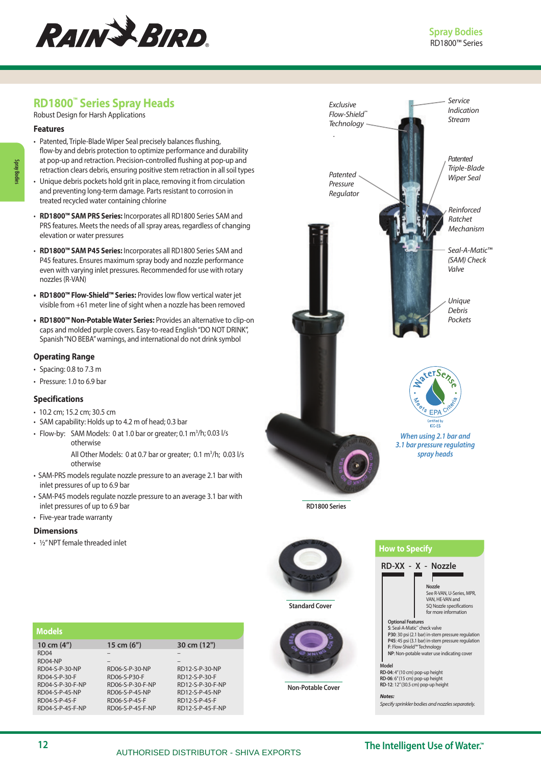

# **RD1800™ Series Spray Heads**

Robust Design for Harsh Applications

### **Features**

**Spray Bodies**

- Patented, Triple-Blade Wiper Seal precisely balances flushing, flow-by and debris protection to optimize performance and durability at pop-up and retraction. Precision-controlled flushing at pop-up and retraction clears debris, ensuring positive stem retraction in all soil types
- Unique debris pockets hold grit in place, removing it from circulation and preventing long-term damage. Parts resistant to corrosion in treated recycled water containing chlorine
- **RD1800™ SAM PRS Series:** Incorporates all RD1800 Series SAM and PRS features. Meets the needs of all spray areas, regardless of changing elevation or water pressures
- **RD1800™ SAM P45 Series:** Incorporates all RD1800 Series SAM and P45 features. Ensures maximum spray body and nozzle performance even with varying inlet pressures. Recommended for use with rotary nozzles (R-VAN)
- RD1800™ Flow-Shield<sup>™</sup> Series: Provides low flow vertical water jet visible from +61 meter line of sight when a nozzle has been removed
- **RD1800™ Non-Potable Water Series:** Provides an alternative to clip-on caps and molded purple covers. Easy-to-read English "DO NOT DRINK", Spanish "NO BEBA" warnings, and international do not drink symbol

## **Operating Range**

- Spacing: 0.8 to 7.3 m
- Pressure: 1.0 to 6.9 bar

### **Specifications**

- 10.2 cm; 15.2 cm; 30.5 cm
- SAM capability: Holds up to 4.2 m of head; 0.3 bar
- Flow-by: SAM Models: 0 at 1.0 bar or greater; 0.1  $\text{m}^3/\text{h}$ ; 0.03 l/s otherwise
- All Other Models: 0 at 0.7 bar or greater; 0.1 m<sup>3</sup>/h; 0.03 l/s otherwise
- SAM-PRS models regulate nozzle pressure to an average 2.1 bar with inlet pressures of up to 6.9 bar
- SAM-P45 models regulate nozzle pressure to an average 3.1 bar with inlet pressures of up to 6.9 bar
- Five-year trade warranty

### **Dimensions**

• ½" NPT female threaded inlet

| <b>Models</b>    |                  |                  |
|------------------|------------------|------------------|
| 10 cm $(4'')$    | 15 cm $(6")$     | 30 cm (12")      |
| RD <sub>04</sub> |                  |                  |
| RD04-NP          |                  |                  |
| RD04-S-P-30-NP   | RD06-S-P-30-NP   | RD12-S-P-30-NP   |
| RD04-S-P-30-F    | RD06-S-P30-F     | RD12-S-P-30-F    |
| RD04-S-P-30-F-NP | RD06-S-P-30-F-NP | RD12-S-P-30-F-NP |
| RD04-S-P-45-NP   | RD06-S-P-45-NP   | RD12-S-P-45-NP   |
| RD04-S-P-45-F    | RD06-S-P-45-F    | RD12-S-P-45-F    |
| RD04-S-P-45-F-NP | RD06-S-P-45-F-NP | RD12-S-P-45-F-NP |



**RD1800 Series**

**Standard Cover**

**Non-Potable Cover**

# **How to Specify**



# **12 The Intelligent Use of Water.™**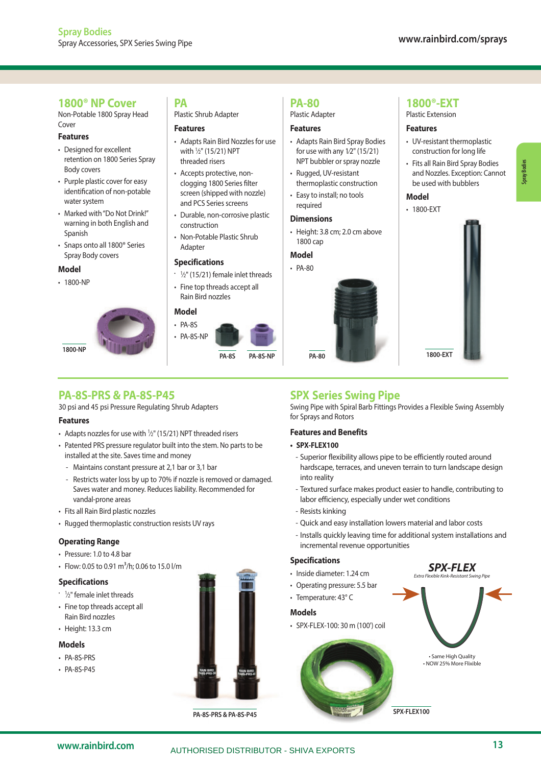# **1800® NP Cover**

Non-Potable 1800 Spray Head Cover

### **Features**

- Designed for excellent retention on 1800 Series Spray Body covers
- Purple plastic cover for easy identification of non-potable water system
- Marked with "Do Not Drink!" warning in both English and Spanish
- Snaps onto all 1800® Series Spray Body covers

### **Model**

• 1800-NP



# **PA**

Plastic Shrub Adapter

# **Features**

- Adapts Rain Bird Nozzles for use with <sup>1</sup> ⁄2" (15/21) NPT threaded risers
- Accepts protective, nonclogging 1800 Series filter screen (shipped with nozzle) and PCS Series screens
- Durable, non-corrosive plastic construction
- Non-Potable Plastic Shrub Adapter

### **Specifications**

- $\cdot$   $\frac{1}{2}$ " (15/21) female inlet threads
- Fine top threads accept all Rain Bird nozzles

# **Model**



## **PA-80**

Plastic Adapter

# **Features**

- Adapts Rain Bird Spray Bodies for use with any 1⁄2" (15/21) NPT bubbler or spray nozzle
- Rugged, UV-resistant thermoplastic construction
- Easy to install; no tools required

### **Dimensions**

• Height: 3.8 cm; 2.0 cm above 1800 cap

# **Model**



# **1800®-EXT**

Plastic Extension

### **Features**

- UV-resistant thermoplastic construction for long life
- Fits all Rain Bird Spray Bodies and Nozzles. Exception: Cannot be used with bubblers

### **Model**

• 1800-EXT



# **PA-8S-PRS & PA-8S-P45**

30 psi and 45 psi Pressure Regulating Shrub Adapters

## **Features**

- Adapts nozzles for use with  $\frac{1}{2}$ " (15/21) NPT threaded risers
- Patented PRS pressure regulator built into the stem. No parts to be installed at the site. Saves time and money
- Maintains constant pressure at 2,1 bar or 3,1 bar
- Restricts water loss by up to 70% if nozzle is removed or damaged. Saves water and money. Reduces liability. Recommended for vandal-prone areas
- Fits all Rain Bird plastic nozzles
- Rugged thermoplastic construction resists UV rays

# **Operating Range**

- Pressure: 1.0 to 4.8 bar
- Flow: 0.05 to 0.91 m3/h; 0.06 to 15.0 l/m

### **Specifications**

- $\cdot$   $\frac{1}{2}$ " female inlet threads
- Fine top threads accept all Rain Bird nozzles
- Height: 13.3 cm

## **Models**

- PA-8S-PRS
- PA-8S-P45



**PA-8S-PRS & PA-8S-P45**

# **SPX Series Swing Pipe**

Swing Pipe with Spiral Barb Fittings Provides a Flexible Swing Assembly for Sprays and Rotors

## **Features and Benefits**

## **• SPX-FLEX100**

- Superior flexibility allows pipe to be efficiently routed around hardscape, terraces, and uneven terrain to turn landscape design into reality
- Textured surface makes product easier to handle, contributing to labor efficiency, especially under wet conditions
- Resists kinking
- Quick and easy installation lowers material and labor costs
- Installs quickly leaving time for additional system installations and incremental revenue opportunities

# **Specifications**

- Inside diameter: 1.24 cm
- Operating pressure: 5.5 bar
- Temperature: 43° C

### **Models**

• SPX-FLEX-100: 30 m (100') coil



**SPX-FLEX**

 $E<sub>tr</sub>$  Flowib

**SPX-FLEX100**